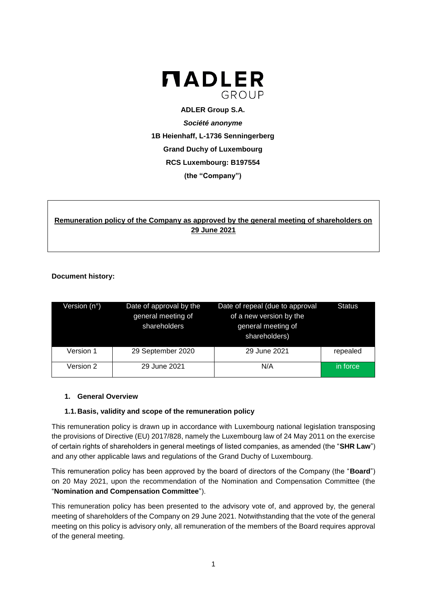

**ADLER Group S.A.** *Société anonyme* **1B Heienhaff, L-1736 Senningerberg Grand Duchy of Luxembourg RCS Luxembourg: B197554 (the "Company")**

# **Remuneration policy of the Company as approved by the general meeting of shareholders on 29 June 2021**

### **Document history:**

| Version (n°) | Date of approval by the<br>general meeting of<br>shareholders | Date of repeal (due to approval<br>of a new version by the<br>general meeting of<br>shareholders) | <b>Status</b> |
|--------------|---------------------------------------------------------------|---------------------------------------------------------------------------------------------------|---------------|
| Version 1    | 29 September 2020                                             | 29 June 2021                                                                                      | repealed      |
| Version 2    | 29 June 2021                                                  | N/A                                                                                               | in force      |

#### **1. General Overview**

#### **1.1.Basis, validity and scope of the remuneration policy**

This remuneration policy is drawn up in accordance with Luxembourg national legislation transposing the provisions of Directive (EU) 2017/828, namely the Luxembourg law of 24 May 2011 on the exercise of certain rights of shareholders in general meetings of listed companies, as amended (the "**SHR Law**") and any other applicable laws and regulations of the Grand Duchy of Luxembourg.

This remuneration policy has been approved by the board of directors of the Company (the "**Board**") on 20 May 2021, upon the recommendation of the Nomination and Compensation Committee (the "**Nomination and Compensation Committee**").

This remuneration policy has been presented to the advisory vote of, and approved by, the general meeting of shareholders of the Company on 29 June 2021. Notwithstanding that the vote of the general meeting on this policy is advisory only, all remuneration of the members of the Board requires approval of the general meeting.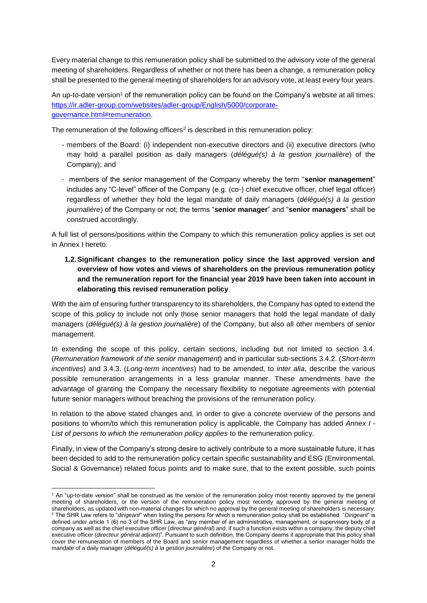Every material change to this remuneration policy shall be submitted to the advisory vote of the general meeting of shareholders. Regardless of whether or not there has been a change, a remuneration policy shall be presented to the general meeting of shareholders for an advisory vote, at least every four years.

An up-to-date version<sup>1</sup> of the remuneration policy can be found on the Company's website at all times: [https://ir.adler-group.com/websites/adler-group/English/5000/corporate](https://ir.adler-group.com/websites/adler-group/English/5000/corporate-governance.html#remuneration)[governance.html#remuneration.](https://ir.adler-group.com/websites/adler-group/English/5000/corporate-governance.html#remuneration)

The remuneration of the following officers<sup>2</sup> is described in this remuneration policy:

- members of the Board: (i) independent non-executive directors and (ii) executive directors (who may hold a parallel position as daily managers (*délégué(s) à la gestion journalière*) of the Company); and
- members of the senior management of the Company whereby the term "**senior management**" includes any "C-level" officer of the Company (e.g. (co-) chief executive officer, chief legal officer) regardless of whether they hold the legal mandate of daily managers (*délégué(s) à la gestion journalière*) of the Company or not; the terms "**senior manager**" and "**senior managers**" shall be construed accordingly.

A full list of persons/positions within the Company to which this remuneration policy applies is set out in Annex I hereto.

**1.2.Significant changes to the remuneration policy since the last approved version and overview of how votes and views of shareholders on the previous remuneration policy and the remuneration report for the financial year 2019 have been taken into account in elaborating this revised remuneration policy**

With the aim of ensuring further transparency to its shareholders, the Company has opted to extend the scope of this policy to include not only those senior managers that hold the legal mandate of daily managers (*délégué(s) à la gestion journalière*) of the Company, but also all other members of senior management.

In extending the scope of this policy, certain sections, including but not limited to section 3.4. (*Remuneration framework of the senior management*) and in particular sub-sections 3.4.2. (*Short-term incentives*) and 3.4.3. (*Long-term incentives*) had to be amended, to *inter alia*, describe the various possible remuneration arrangements in a less granular manner. These amendments have the advantage of granting the Company the necessary flexibility to negotiate agreements with potential future senior managers without breaching the provisions of the remuneration policy.

In relation to the above stated changes and, in order to give a concrete overview of the persons and positions to whom/to which this remuneration policy is applicable, the Company has added *Annex I - List of persons to which the remuneration policy applies* to the remuneration policy.

Finally, in view of the Company's strong desire to actively contribute to a more sustainable future, it has been decided to add to the remuneration policy certain specific sustainability and ESG (Environmental, Social & Governance) related focus points and to make sure, that to the extent possible, such points

**<sup>.</sup>** <sup>1</sup> An "up-to-date version" shall be construed as the version of the remuneration policy most recently approved by the general meeting of shareholders, or the version of the remuneration policy most recently approved by the general meeting of shareholders, as updated with non-material changes for which no approval by the general meeting of shareholders is necessary. <sup>2</sup> The SHR Law refers to "*dirigeant*" when listing the persons for which a remuneration policy shall be established. "*Dirigeant*" is defined under article 1 (6) no 3 of the SHR Law, as "any member of an administrative, management, or supervisory body of a company as well as the chief executive officer (*directeur général*) and, if such a function exists within a company, the deputy chief executive officer (*directeur général adjoint*)". Pursuant to such definition, the Company deems it appropriate that this policy shall cover the remuneration of members of the Board and senior management regardless of whether a senior manager holds the mandate of a daily manager (*délégué(s) à la gestion journalière*) of the Company or not.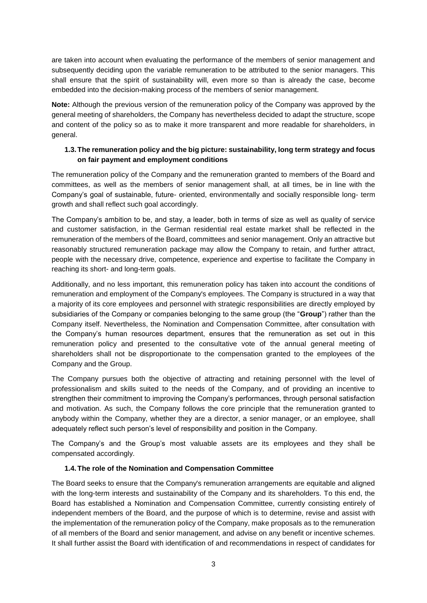are taken into account when evaluating the performance of the members of senior management and subsequently deciding upon the variable remuneration to be attributed to the senior managers. This shall ensure that the spirit of sustainability will, even more so than is already the case, become embedded into the decision-making process of the members of senior management.

**Note:** Although the previous version of the remuneration policy of the Company was approved by the general meeting of shareholders, the Company has nevertheless decided to adapt the structure, scope and content of the policy so as to make it more transparent and more readable for shareholders, in general.

### **1.3.The remuneration policy and the big picture: sustainability, long term strategy and focus on fair payment and employment conditions**

The remuneration policy of the Company and the remuneration granted to members of the Board and committees, as well as the members of senior management shall, at all times, be in line with the Company's goal of sustainable, future- oriented, environmentally and socially responsible long- term growth and shall reflect such goal accordingly.

The Company's ambition to be, and stay, a leader, both in terms of size as well as quality of service and customer satisfaction, in the German residential real estate market shall be reflected in the remuneration of the members of the Board, committees and senior management. Only an attractive but reasonably structured remuneration package may allow the Company to retain, and further attract, people with the necessary drive, competence, experience and expertise to facilitate the Company in reaching its short- and long-term goals.

Additionally, and no less important, this remuneration policy has taken into account the conditions of remuneration and employment of the Company's employees. The Company is structured in a way that a majority of its core employees and personnel with strategic responsibilities are directly employed by subsidiaries of the Company or companies belonging to the same group (the "**Group**") rather than the Company itself. Nevertheless, the Nomination and Compensation Committee, after consultation with the Company's human resources department, ensures that the remuneration as set out in this remuneration policy and presented to the consultative vote of the annual general meeting of shareholders shall not be disproportionate to the compensation granted to the employees of the Company and the Group.

The Company pursues both the objective of attracting and retaining personnel with the level of professionalism and skills suited to the needs of the Company, and of providing an incentive to strengthen their commitment to improving the Company's performances, through personal satisfaction and motivation. As such, the Company follows the core principle that the remuneration granted to anybody within the Company, whether they are a director, a senior manager, or an employee, shall adequately reflect such person's level of responsibility and position in the Company.

The Company's and the Group's most valuable assets are its employees and they shall be compensated accordingly.

#### **1.4.The role of the Nomination and Compensation Committee**

The Board seeks to ensure that the Company's remuneration arrangements are equitable and aligned with the long-term interests and sustainability of the Company and its shareholders. To this end, the Board has established a Nomination and Compensation Committee, currently consisting entirely of independent members of the Board, and the purpose of which is to determine, revise and assist with the implementation of the remuneration policy of the Company, make proposals as to the remuneration of all members of the Board and senior management, and advise on any benefit or incentive schemes. It shall further assist the Board with identification of and recommendations in respect of candidates for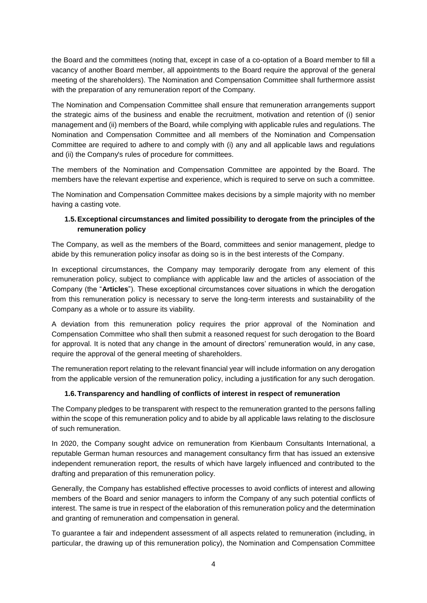the Board and the committees (noting that, except in case of a co-optation of a Board member to fill a vacancy of another Board member, all appointments to the Board require the approval of the general meeting of the shareholders). The Nomination and Compensation Committee shall furthermore assist with the preparation of any remuneration report of the Company.

The Nomination and Compensation Committee shall ensure that remuneration arrangements support the strategic aims of the business and enable the recruitment, motivation and retention of (i) senior management and (ii) members of the Board, while complying with applicable rules and regulations. The Nomination and Compensation Committee and all members of the Nomination and Compensation Committee are required to adhere to and comply with (i) any and all applicable laws and regulations and (ii) the Company's rules of procedure for committees.

The members of the Nomination and Compensation Committee are appointed by the Board. The members have the relevant expertise and experience, which is required to serve on such a committee.

The Nomination and Compensation Committee makes decisions by a simple majority with no member having a casting vote.

## **1.5.Exceptional circumstances and limited possibility to derogate from the principles of the remuneration policy**

The Company, as well as the members of the Board, committees and senior management, pledge to abide by this remuneration policy insofar as doing so is in the best interests of the Company.

In exceptional circumstances, the Company may temporarily derogate from any element of this remuneration policy, subject to compliance with applicable law and the articles of association of the Company (the "**Articles**"). These exceptional circumstances cover situations in which the derogation from this remuneration policy is necessary to serve the long-term interests and sustainability of the Company as a whole or to assure its viability.

A deviation from this remuneration policy requires the prior approval of the Nomination and Compensation Committee who shall then submit a reasoned request for such derogation to the Board for approval. It is noted that any change in the amount of directors' remuneration would, in any case, require the approval of the general meeting of shareholders.

The remuneration report relating to the relevant financial year will include information on any derogation from the applicable version of the remuneration policy, including a justification for any such derogation.

### **1.6.Transparency and handling of conflicts of interest in respect of remuneration**

The Company pledges to be transparent with respect to the remuneration granted to the persons falling within the scope of this remuneration policy and to abide by all applicable laws relating to the disclosure of such remuneration.

In 2020, the Company sought advice on remuneration from Kienbaum Consultants International, a reputable German human resources and management consultancy firm that has issued an extensive independent remuneration report, the results of which have largely influenced and contributed to the drafting and preparation of this remuneration policy.

Generally, the Company has established effective processes to avoid conflicts of interest and allowing members of the Board and senior managers to inform the Company of any such potential conflicts of interest. The same is true in respect of the elaboration of this remuneration policy and the determination and granting of remuneration and compensation in general.

To guarantee a fair and independent assessment of all aspects related to remuneration (including, in particular, the drawing up of this remuneration policy), the Nomination and Compensation Committee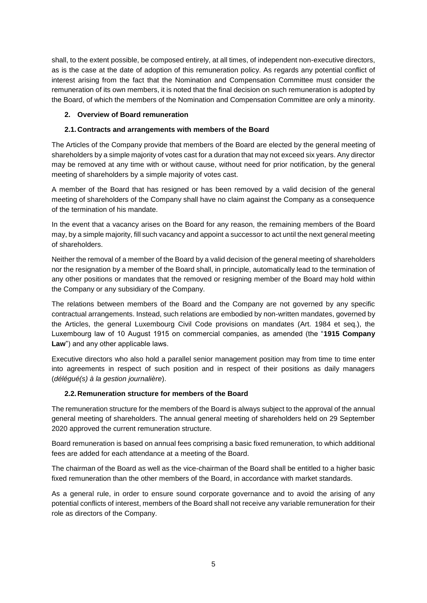shall, to the extent possible, be composed entirely, at all times, of independent non-executive directors, as is the case at the date of adoption of this remuneration policy. As regards any potential conflict of interest arising from the fact that the Nomination and Compensation Committee must consider the remuneration of its own members, it is noted that the final decision on such remuneration is adopted by the Board, of which the members of the Nomination and Compensation Committee are only a minority.

### **2. Overview of Board remuneration**

### **2.1.Contracts and arrangements with members of the Board**

The Articles of the Company provide that members of the Board are elected by the general meeting of shareholders by a simple majority of votes cast for a duration that may not exceed six years. Any director may be removed at any time with or without cause, without need for prior notification, by the general meeting of shareholders by a simple majority of votes cast.

A member of the Board that has resigned or has been removed by a valid decision of the general meeting of shareholders of the Company shall have no claim against the Company as a consequence of the termination of his mandate.

In the event that a vacancy arises on the Board for any reason, the remaining members of the Board may, by a simple majority, fill such vacancy and appoint a successor to act until the next general meeting of shareholders.

Neither the removal of a member of the Board by a valid decision of the general meeting of shareholders nor the resignation by a member of the Board shall, in principle, automatically lead to the termination of any other positions or mandates that the removed or resigning member of the Board may hold within the Company or any subsidiary of the Company.

The relations between members of the Board and the Company are not governed by any specific contractual arrangements. Instead, such relations are embodied by non-written mandates, governed by the Articles, the general Luxembourg Civil Code provisions on mandates (Art. 1984 et seq.), the Luxembourg law of 10 August 1915 on commercial companies, as amended (the "**1915 Company Law**") and any other applicable laws.

Executive directors who also hold a parallel senior management position may from time to time enter into agreements in respect of such position and in respect of their positions as daily managers (*délégué(s) à la gestion journalière*).

#### **2.2.Remuneration structure for members of the Board**

The remuneration structure for the members of the Board is always subject to the approval of the annual general meeting of shareholders. The annual general meeting of shareholders held on 29 September 2020 approved the current remuneration structure.

Board remuneration is based on annual fees comprising a basic fixed remuneration, to which additional fees are added for each attendance at a meeting of the Board.

The chairman of the Board as well as the vice-chairman of the Board shall be entitled to a higher basic fixed remuneration than the other members of the Board, in accordance with market standards.

As a general rule, in order to ensure sound corporate governance and to avoid the arising of any potential conflicts of interest, members of the Board shall not receive any variable remuneration for their role as directors of the Company.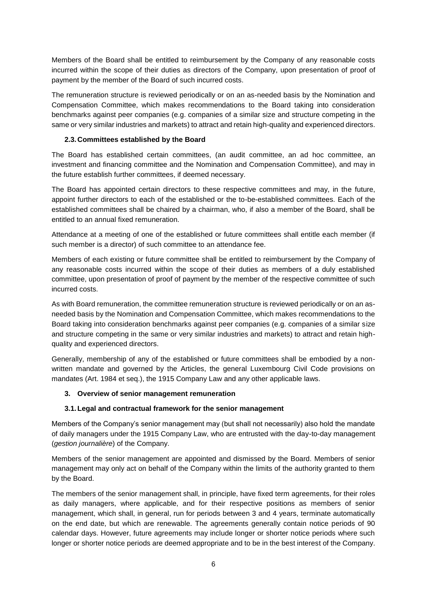Members of the Board shall be entitled to reimbursement by the Company of any reasonable costs incurred within the scope of their duties as directors of the Company, upon presentation of proof of payment by the member of the Board of such incurred costs.

The remuneration structure is reviewed periodically or on an as-needed basis by the Nomination and Compensation Committee, which makes recommendations to the Board taking into consideration benchmarks against peer companies (e.g. companies of a similar size and structure competing in the same or very similar industries and markets) to attract and retain high-quality and experienced directors.

### **2.3.Committees established by the Board**

The Board has established certain committees, (an audit committee, an ad hoc committee, an investment and financing committee and the Nomination and Compensation Committee), and may in the future establish further committees, if deemed necessary.

The Board has appointed certain directors to these respective committees and may, in the future, appoint further directors to each of the established or the to-be-established committees. Each of the established committees shall be chaired by a chairman, who, if also a member of the Board, shall be entitled to an annual fixed remuneration.

Attendance at a meeting of one of the established or future committees shall entitle each member (if such member is a director) of such committee to an attendance fee.

Members of each existing or future committee shall be entitled to reimbursement by the Company of any reasonable costs incurred within the scope of their duties as members of a duly established committee, upon presentation of proof of payment by the member of the respective committee of such incurred costs.

As with Board remuneration, the committee remuneration structure is reviewed periodically or on an asneeded basis by the Nomination and Compensation Committee, which makes recommendations to the Board taking into consideration benchmarks against peer companies (e.g. companies of a similar size and structure competing in the same or very similar industries and markets) to attract and retain highquality and experienced directors.

Generally, membership of any of the established or future committees shall be embodied by a nonwritten mandate and governed by the Articles, the general Luxembourg Civil Code provisions on mandates (Art. 1984 et seq.), the 1915 Company Law and any other applicable laws.

### **3. Overview of senior management remuneration**

#### **3.1.Legal and contractual framework for the senior management**

Members of the Company's senior management may (but shall not necessarily) also hold the mandate of daily managers under the 1915 Company Law, who are entrusted with the day-to-day management (*gestion journalière*) of the Company.

Members of the senior management are appointed and dismissed by the Board. Members of senior management may only act on behalf of the Company within the limits of the authority granted to them by the Board.

The members of the senior management shall, in principle, have fixed term agreements, for their roles as daily managers, where applicable, and for their respective positions as members of senior management, which shall, in general, run for periods between 3 and 4 years, terminate automatically on the end date, but which are renewable. The agreements generally contain notice periods of 90 calendar days. However, future agreements may include longer or shorter notice periods where such longer or shorter notice periods are deemed appropriate and to be in the best interest of the Company.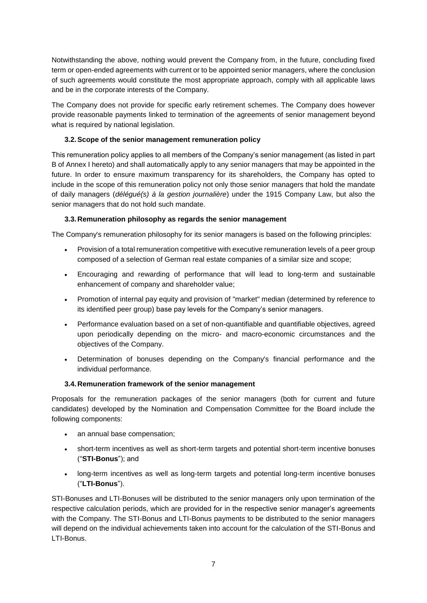Notwithstanding the above, nothing would prevent the Company from, in the future, concluding fixed term or open-ended agreements with current or to be appointed senior managers, where the conclusion of such agreements would constitute the most appropriate approach, comply with all applicable laws and be in the corporate interests of the Company.

The Company does not provide for specific early retirement schemes. The Company does however provide reasonable payments linked to termination of the agreements of senior management beyond what is required by national legislation.

## **3.2.Scope of the senior management remuneration policy**

This remuneration policy applies to all members of the Company's senior management (as listed in part B of Annex I hereto) and shall automatically apply to any senior managers that may be appointed in the future. In order to ensure maximum transparency for its shareholders, the Company has opted to include in the scope of this remuneration policy not only those senior managers that hold the mandate of daily managers (*délégué(s) à la gestion journalière*) under the 1915 Company Law, but also the senior managers that do not hold such mandate.

## **3.3.Remuneration philosophy as regards the senior management**

The Company's remuneration philosophy for its senior managers is based on the following principles:

- Provision of a total remuneration competitive with executive remuneration levels of a peer group composed of a selection of German real estate companies of a similar size and scope;
- Encouraging and rewarding of performance that will lead to long-term and sustainable enhancement of company and shareholder value;
- Promotion of internal pay equity and provision of "market" median (determined by reference to its identified peer group) base pay levels for the Company's senior managers.
- Performance evaluation based on a set of non-quantifiable and quantifiable objectives, agreed upon periodically depending on the micro- and macro-economic circumstances and the objectives of the Company.
- Determination of bonuses depending on the Company's financial performance and the individual performance.

### **3.4.Remuneration framework of the senior management**

Proposals for the remuneration packages of the senior managers (both for current and future candidates) developed by the Nomination and Compensation Committee for the Board include the following components:

- an annual base compensation;
- short-term incentives as well as short-term targets and potential short-term incentive bonuses ("**STI-Bonus**"); and
- long-term incentives as well as long-term targets and potential long-term incentive bonuses ("**LTI-Bonus**").

STI-Bonuses and LTI-Bonuses will be distributed to the senior managers only upon termination of the respective calculation periods, which are provided for in the respective senior manager's agreements with the Company. The STI-Bonus and LTI-Bonus payments to be distributed to the senior managers will depend on the individual achievements taken into account for the calculation of the STI-Bonus and LTI-Bonus.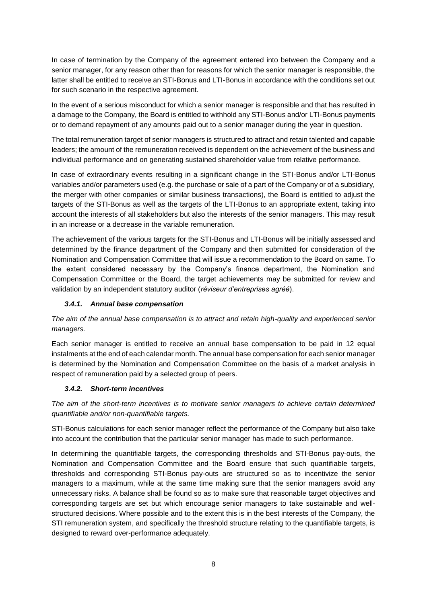In case of termination by the Company of the agreement entered into between the Company and a senior manager, for any reason other than for reasons for which the senior manager is responsible, the latter shall be entitled to receive an STI-Bonus and LTI-Bonus in accordance with the conditions set out for such scenario in the respective agreement.

In the event of a serious misconduct for which a senior manager is responsible and that has resulted in a damage to the Company, the Board is entitled to withhold any STI-Bonus and/or LTI-Bonus payments or to demand repayment of any amounts paid out to a senior manager during the year in question.

The total remuneration target of senior managers is structured to attract and retain talented and capable leaders; the amount of the remuneration received is dependent on the achievement of the business and individual performance and on generating sustained shareholder value from relative performance.

In case of extraordinary events resulting in a significant change in the STI-Bonus and/or LTI-Bonus variables and/or parameters used (e.g. the purchase or sale of a part of the Company or of a subsidiary, the merger with other companies or similar business transactions), the Board is entitled to adjust the targets of the STI-Bonus as well as the targets of the LTI-Bonus to an appropriate extent, taking into account the interests of all stakeholders but also the interests of the senior managers. This may result in an increase or a decrease in the variable remuneration.

The achievement of the various targets for the STI-Bonus and LTI-Bonus will be initially assessed and determined by the finance department of the Company and then submitted for consideration of the Nomination and Compensation Committee that will issue a recommendation to the Board on same. To the extent considered necessary by the Company's finance department, the Nomination and Compensation Committee or the Board, the target achievements may be submitted for review and validation by an independent statutory auditor (*réviseur d'entreprises agréé*).

### *3.4.1. Annual base compensation*

*The aim of the annual base compensation is to attract and retain high-quality and experienced senior managers.*

Each senior manager is entitled to receive an annual base compensation to be paid in 12 equal instalments at the end of each calendar month. The annual base compensation for each senior manager is determined by the Nomination and Compensation Committee on the basis of a market analysis in respect of remuneration paid by a selected group of peers.

#### *3.4.2. Short-term incentives*

*The aim of the short-term incentives is to motivate senior managers to achieve certain determined quantifiable and/or non-quantifiable targets.* 

STI-Bonus calculations for each senior manager reflect the performance of the Company but also take into account the contribution that the particular senior manager has made to such performance.

In determining the quantifiable targets, the corresponding thresholds and STI-Bonus pay-outs, the Nomination and Compensation Committee and the Board ensure that such quantifiable targets, thresholds and corresponding STI-Bonus pay-outs are structured so as to incentivize the senior managers to a maximum, while at the same time making sure that the senior managers avoid any unnecessary risks. A balance shall be found so as to make sure that reasonable target objectives and corresponding targets are set but which encourage senior managers to take sustainable and wellstructured decisions. Where possible and to the extent this is in the best interests of the Company, the STI remuneration system, and specifically the threshold structure relating to the quantifiable targets, is designed to reward over-performance adequately.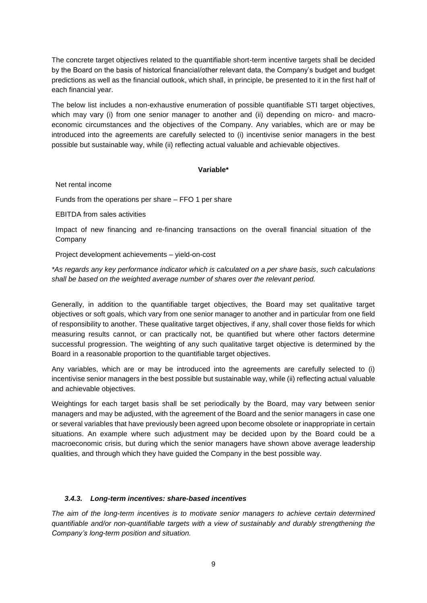The concrete target objectives related to the quantifiable short-term incentive targets shall be decided by the Board on the basis of historical financial/other relevant data, the Company's budget and budget predictions as well as the financial outlook, which shall, in principle, be presented to it in the first half of each financial year.

The below list includes a non-exhaustive enumeration of possible quantifiable STI target objectives, which may vary (i) from one senior manager to another and (ii) depending on micro- and macroeconomic circumstances and the objectives of the Company. Any variables, which are or may be introduced into the agreements are carefully selected to (i) incentivise senior managers in the best possible but sustainable way, while (ii) reflecting actual valuable and achievable objectives.

#### **Variable\***

Net rental income

Funds from the operations per share – FFO 1 per share

EBITDA from sales activities

Impact of new financing and re-financing transactions on the overall financial situation of the Company

Project development achievements – yield-on-cost

*\*As regards any key performance indicator which is calculated on a per share basis, such calculations shall be based on the weighted average number of shares over the relevant period.*

Generally, in addition to the quantifiable target objectives, the Board may set qualitative target objectives or soft goals, which vary from one senior manager to another and in particular from one field of responsibility to another. These qualitative target objectives, if any, shall cover those fields for which measuring results cannot, or can practically not, be quantified but where other factors determine successful progression. The weighting of any such qualitative target objective is determined by the Board in a reasonable proportion to the quantifiable target objectives.

Any variables, which are or may be introduced into the agreements are carefully selected to (i) incentivise senior managers in the best possible but sustainable way, while (ii) reflecting actual valuable and achievable objectives.

Weightings for each target basis shall be set periodically by the Board, may vary between senior managers and may be adjusted, with the agreement of the Board and the senior managers in case one or several variables that have previously been agreed upon become obsolete or inappropriate in certain situations. An example where such adjustment may be decided upon by the Board could be a macroeconomic crisis, but during which the senior managers have shown above average leadership qualities, and through which they have guided the Company in the best possible way.

#### *3.4.3. Long-term incentives: share-based incentives*

*The aim of the long-term incentives is to motivate senior managers to achieve certain determined quantifiable and/or non-quantifiable targets with a view of sustainably and durably strengthening the Company's long-term position and situation.*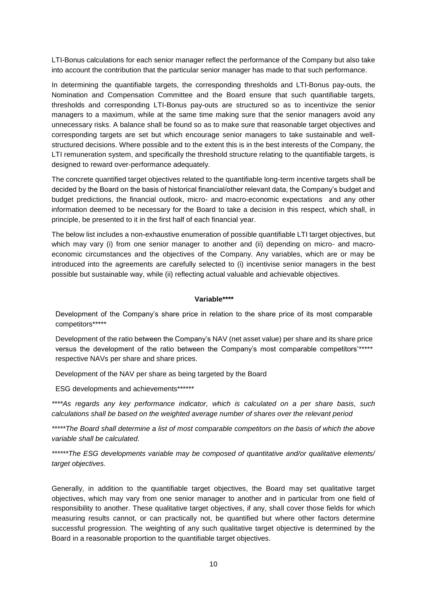LTI-Bonus calculations for each senior manager reflect the performance of the Company but also take into account the contribution that the particular senior manager has made to that such performance.

In determining the quantifiable targets, the corresponding thresholds and LTI-Bonus pay-outs, the Nomination and Compensation Committee and the Board ensure that such quantifiable targets, thresholds and corresponding LTI-Bonus pay-outs are structured so as to incentivize the senior managers to a maximum, while at the same time making sure that the senior managers avoid any unnecessary risks. A balance shall be found so as to make sure that reasonable target objectives and corresponding targets are set but which encourage senior managers to take sustainable and wellstructured decisions. Where possible and to the extent this is in the best interests of the Company, the LTI remuneration system, and specifically the threshold structure relating to the quantifiable targets, is designed to reward over-performance adequately.

The concrete quantified target objectives related to the quantifiable long-term incentive targets shall be decided by the Board on the basis of historical financial/other relevant data, the Company's budget and budget predictions, the financial outlook, micro- and macro-economic expectations and any other information deemed to be necessary for the Board to take a decision in this respect, which shall, in principle, be presented to it in the first half of each financial year.

The below list includes a non-exhaustive enumeration of possible quantifiable LTI target objectives, but which may vary (i) from one senior manager to another and (ii) depending on micro- and macroeconomic circumstances and the objectives of the Company. Any variables, which are or may be introduced into the agreements are carefully selected to (i) incentivise senior managers in the best possible but sustainable way, while (ii) reflecting actual valuable and achievable objectives.

#### **Variable\*\*\*\***

Development of the Company's share price in relation to the share price of its most comparable competitors\*\*\*\*\*

Development of the ratio between the Company's NAV (net asset value) per share and its share price versus the development of the ratio between the Company's most comparable competitors'\*\*\*\*\* respective NAVs per share and share prices.

Development of the NAV per share as being targeted by the Board

ESG developments and achievements\*\*\*\*\*\*

*\*\*\*\*As regards any key performance indicator, which is calculated on a per share basis, such calculations shall be based on the weighted average number of shares over the relevant period*

*\*\*\*\*\*The Board shall determine a list of most comparable competitors on the basis of which the above variable shall be calculated.*

*\*\*\*\*\*\*The ESG developments variable may be composed of quantitative and/or qualitative elements/ target objectives.*

Generally, in addition to the quantifiable target objectives, the Board may set qualitative target objectives, which may vary from one senior manager to another and in particular from one field of responsibility to another. These qualitative target objectives, if any, shall cover those fields for which measuring results cannot, or can practically not, be quantified but where other factors determine successful progression. The weighting of any such qualitative target objective is determined by the Board in a reasonable proportion to the quantifiable target objectives.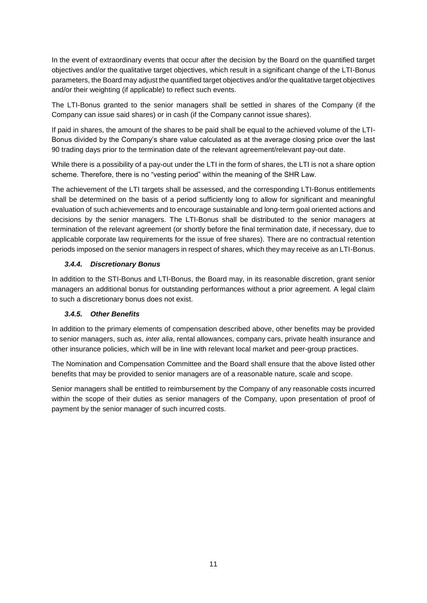In the event of extraordinary events that occur after the decision by the Board on the quantified target objectives and/or the qualitative target objectives, which result in a significant change of the LTI-Bonus parameters, the Board may adjust the quantified target objectives and/or the qualitative target objectives and/or their weighting (if applicable) to reflect such events.

The LTI-Bonus granted to the senior managers shall be settled in shares of the Company (if the Company can issue said shares) or in cash (if the Company cannot issue shares).

If paid in shares, the amount of the shares to be paid shall be equal to the achieved volume of the LTI-Bonus divided by the Company's share value calculated as at the average closing price over the last 90 trading days prior to the termination date of the relevant agreement/relevant pay-out date.

While there is a possibility of a pay-out under the LTI in the form of shares, the LTI is not a share option scheme. Therefore, there is no "vesting period" within the meaning of the SHR Law.

The achievement of the LTI targets shall be assessed, and the corresponding LTI-Bonus entitlements shall be determined on the basis of a period sufficiently long to allow for significant and meaningful evaluation of such achievements and to encourage sustainable and long-term goal oriented actions and decisions by the senior managers. The LTI-Bonus shall be distributed to the senior managers at termination of the relevant agreement (or shortly before the final termination date, if necessary, due to applicable corporate law requirements for the issue of free shares). There are no contractual retention periods imposed on the senior managers in respect of shares, which they may receive as an LTI-Bonus.

### *3.4.4. Discretionary Bonus*

In addition to the STI-Bonus and LTI-Bonus, the Board may, in its reasonable discretion, grant senior managers an additional bonus for outstanding performances without a prior agreement. A legal claim to such a discretionary bonus does not exist.

### *3.4.5. Other Benefits*

In addition to the primary elements of compensation described above, other benefits may be provided to senior managers, such as, *inter alia*, rental allowances, company cars, private health insurance and other insurance policies, which will be in line with relevant local market and peer-group practices.

The Nomination and Compensation Committee and the Board shall ensure that the above listed other benefits that may be provided to senior managers are of a reasonable nature, scale and scope.

Senior managers shall be entitled to reimbursement by the Company of any reasonable costs incurred within the scope of their duties as senior managers of the Company, upon presentation of proof of payment by the senior manager of such incurred costs.